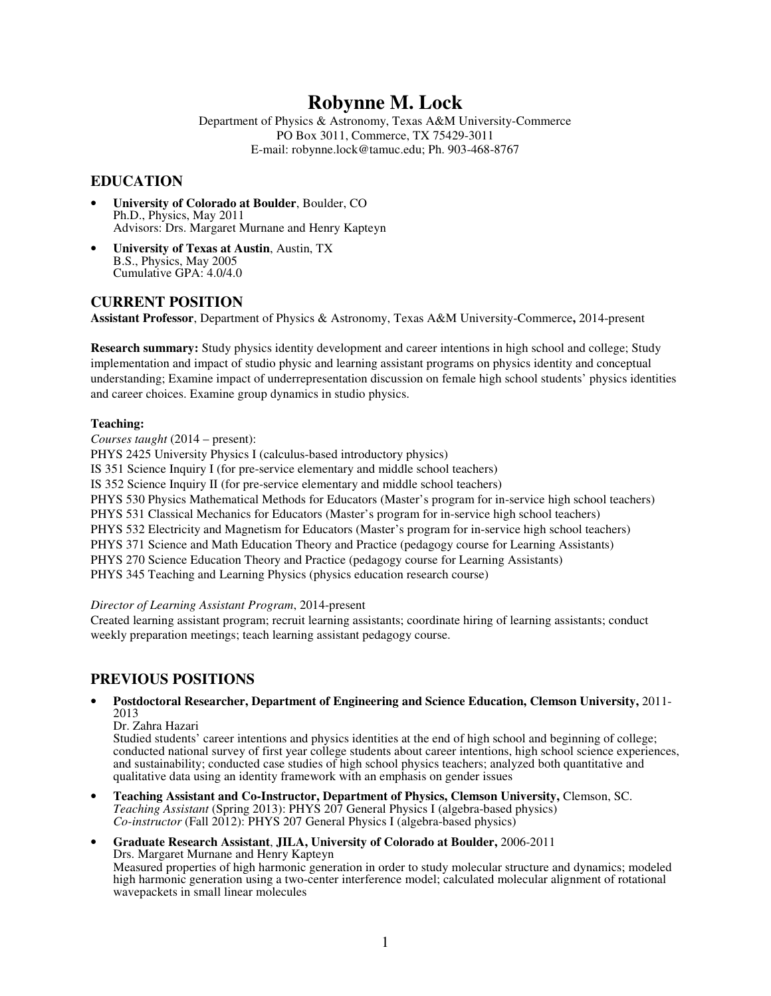# **Robynne M. Lock**

Department of Physics & Astronomy, Texas A&M University-Commerce PO Box 3011, Commerce, TX 75429-3011 E-mail: robynne.lock@tamuc.edu; Ph. 903-468-8767

### **EDUCATION**

- **University of Colorado at Boulder**, Boulder, CO Ph.D., Physics, May 2011 Advisors: Drs. Margaret Murnane and Henry Kapteyn
- **University of Texas at Austin**, Austin, TX B.S., Physics, May 2005 Cumulative GPA: 4.0/4.0

### **CURRENT POSITION**

**Assistant Professor**, Department of Physics & Astronomy, Texas A&M University-Commerce**,** 2014-present

**Research summary:** Study physics identity development and career intentions in high school and college; Study implementation and impact of studio physic and learning assistant programs on physics identity and conceptual understanding; Examine impact of underrepresentation discussion on female high school students' physics identities and career choices. Examine group dynamics in studio physics.

#### **Teaching:**

*Courses taught* (2014 – present):

PHYS 2425 University Physics I (calculus-based introductory physics)

IS 351 Science Inquiry I (for pre-service elementary and middle school teachers)

IS 352 Science Inquiry II (for pre-service elementary and middle school teachers)

PHYS 530 Physics Mathematical Methods for Educators (Master's program for in-service high school teachers)

PHYS 531 Classical Mechanics for Educators (Master's program for in-service high school teachers)

PHYS 532 Electricity and Magnetism for Educators (Master's program for in-service high school teachers)

PHYS 371 Science and Math Education Theory and Practice (pedagogy course for Learning Assistants)

PHYS 270 Science Education Theory and Practice (pedagogy course for Learning Assistants)

PHYS 345 Teaching and Learning Physics (physics education research course)

#### *Director of Learning Assistant Program*, 2014-present

Created learning assistant program; recruit learning assistants; coordinate hiring of learning assistants; conduct weekly preparation meetings; teach learning assistant pedagogy course.

### **PREVIOUS POSITIONS**

### • **Postdoctoral Researcher, Department of Engineering and Science Education, Clemson University,** 2011- 2013

Dr. Zahra Hazari

Studied students' career intentions and physics identities at the end of high school and beginning of college; conducted national survey of first year college students about career intentions, high school science experiences, and sustainability; conducted case studies of high school physics teachers; analyzed both quantitative and qualitative data using an identity framework with an emphasis on gender issues

• **Teaching Assistant and Co-Instructor, Department of Physics, Clemson University,** Clemson, SC. *Teaching Assistant* (Spring 2013): PHYS 207 General Physics I (algebra-based physics) *Co-instructor* (Fall 2012): PHYS 207 General Physics I (algebra-based physics)

#### • **Graduate Research Assistant**, **JILA, University of Colorado at Boulder,** 2006-2011 Drs. Margaret Murnane and Henry Kapteyn Measured properties of high harmonic generation in order to study molecular structure and dynamics; modeled high harmonic generation using a two-center interference model; calculated molecular alignment of rotational wavepackets in small linear molecules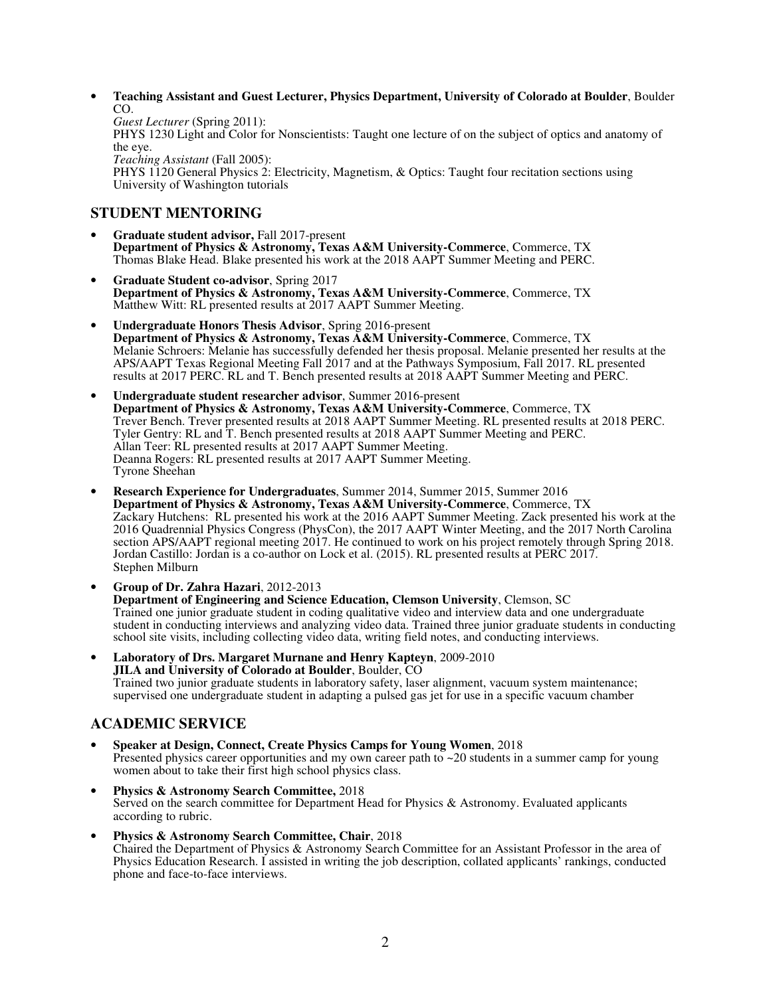• **Teaching Assistant and Guest Lecturer, Physics Department, University of Colorado at Boulder**, Boulder CO.

*Guest Lecturer* (Spring 2011): PHYS 1230 Light and Color for Nonscientists: Taught one lecture of on the subject of optics and anatomy of the eye. *Teaching Assistant* (Fall 2005): PHYS 1120 General Physics 2: Electricity, Magnetism, & Optics: Taught four recitation sections using University of Washington tutorials

### **STUDENT MENTORING**

- **Graduate student advisor,** Fall 2017-present **Department of Physics & Astronomy, Texas A&M University-Commerce**, Commerce, TX Thomas Blake Head. Blake presented his work at the 2018 AAPT Summer Meeting and PERC.
- **Graduate Student co-advisor**, Spring 2017 **Department of Physics & Astronomy, Texas A&M University-Commerce**, Commerce, TX Matthew Witt: RL presented results at 2017 AAPT Summer Meeting.
- **Undergraduate Honors Thesis Advisor**, Spring 2016-present **Department of Physics & Astronomy, Texas A&M University-Commerce**, Commerce, TX Melanie Schroers: Melanie has successfully defended her thesis proposal. Melanie presented her results at the APS/AAPT Texas Regional Meeting Fall 2017 and at the Pathways Symposium, Fall 2017. RL presented results at 2017 PERC. RL and T. Bench presented results at 2018 AAPT Summer Meeting and PERC.
- **Undergraduate student researcher advisor**, Summer 2016-present **Department of Physics & Astronomy, Texas A&M University-Commerce**, Commerce, TX Trever Bench. Trever presented results at 2018 AAPT Summer Meeting. RL presented results at 2018 PERC. Tyler Gentry: RL and T. Bench presented results at 2018 AAPT Summer Meeting and PERC. Allan Teer: RL presented results at 2017 AAPT Summer Meeting. Deanna Rogers: RL presented results at 2017 AAPT Summer Meeting. Tyrone Sheehan
- **Research Experience for Undergraduates**, Summer 2014, Summer 2015, Summer 2016 **Department of Physics & Astronomy, Texas A&M University-Commerce**, Commerce, TX Zackary Hutchens: RL presented his work at the 2016 AAPT Summer Meeting. Zack presented his work at the 2016 Quadrennial Physics Congress (PhysCon), the 2017 AAPT Winter Meeting, and the 2017 North Carolina section APS/AAPT regional meeting 2017. He continued to work on his project remotely through Spring 2018. Jordan Castillo: Jordan is a co-author on Lock et al. (2015). RL presented results at PERC 2017. Stephen Milburn
- **Group of Dr. Zahra Hazari**, 2012-2013 **Department of Engineering and Science Education, Clemson University**, Clemson, SC Trained one junior graduate student in coding qualitative video and interview data and one undergraduate student in conducting interviews and analyzing video data. Trained three junior graduate students in conducting school site visits, including collecting video data, writing field notes, and conducting interviews.
- **Laboratory of Drs. Margaret Murnane and Henry Kapteyn**, 2009-2010 **JILA and University of Colorado at Boulder**, Boulder, CO Trained two junior graduate students in laboratory safety, laser alignment, vacuum system maintenance; supervised one undergraduate student in adapting a pulsed gas jet for use in a specific vacuum chamber

## **ACADEMIC SERVICE**

- **Speaker at Design, Connect, Create Physics Camps for Young Women**, 2018 Presented physics career opportunities and my own career path to ~20 students in a summer camp for young women about to take their first high school physics class.
- **Physics & Astronomy Search Committee,** 2018 Served on the search committee for Department Head for Physics & Astronomy. Evaluated applicants according to rubric.
- **Physics & Astronomy Search Committee, Chair**, 2018 Chaired the Department of Physics & Astronomy Search Committee for an Assistant Professor in the area of Physics Education Research. I assisted in writing the job description, collated applicants' rankings, conducted phone and face-to-face interviews.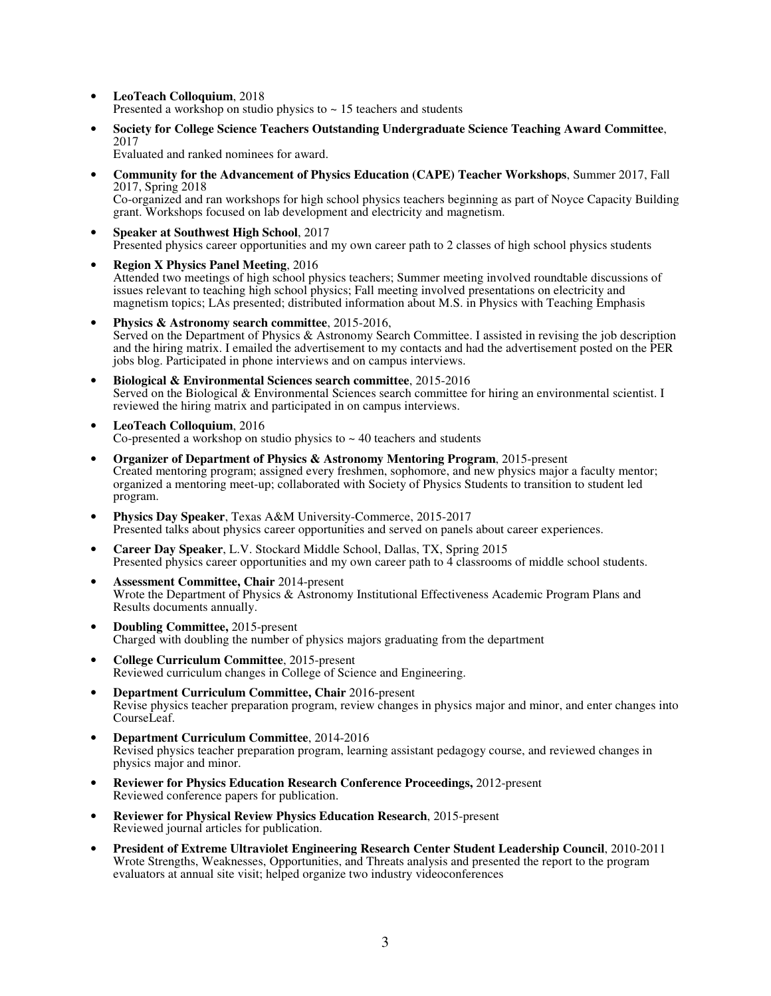- **LeoTeach Colloquium**, 2018 Presented a workshop on studio physics to  $\sim$  15 teachers and students
- **Society for College Science Teachers Outstanding Undergraduate Science Teaching Award Committee**, 2017

Evaluated and ranked nominees for award.

- **Community for the Advancement of Physics Education (CAPE) Teacher Workshops**, Summer 2017, Fall 2017, Spring 2018 Co-organized and ran workshops for high school physics teachers beginning as part of Noyce Capacity Building
- grant. Workshops focused on lab development and electricity and magnetism. • **Speaker at Southwest High School**, 2017 Presented physics career opportunities and my own career path to 2 classes of high school physics students
- **Region X Physics Panel Meeting**, 2016 Attended two meetings of high school physics teachers; Summer meeting involved roundtable discussions of issues relevant to teaching high school physics; Fall meeting involved presentations on electricity and magnetism topics; LAs presented; distributed information about M.S. in Physics with Teaching Emphasis
- **Physics & Astronomy search committee**, 2015-2016, Served on the Department of Physics & Astronomy Search Committee. I assisted in revising the job description and the hiring matrix. I emailed the advertisement to my contacts and had the advertisement posted on the PER jobs blog. Participated in phone interviews and on campus interviews.
- **Biological & Environmental Sciences search committee**, 2015-2016 Served on the Biological & Environmental Sciences search committee for hiring an environmental scientist. I reviewed the hiring matrix and participated in on campus interviews.
- **LeoTeach Colloquium**, 2016 Co-presented a workshop on studio physics to  $\sim$  40 teachers and students
- **Organizer of Department of Physics & Astronomy Mentoring Program**, 2015-present Created mentoring program; assigned every freshmen, sophomore, and new physics major a faculty mentor; organized a mentoring meet-up; collaborated with Society of Physics Students to transition to student led program.
- **Physics Day Speaker**, Texas A&M University-Commerce, 2015-2017 Presented talks about physics career opportunities and served on panels about career experiences.
- **Career Day Speaker**, L.V. Stockard Middle School, Dallas, TX, Spring 2015 Presented physics career opportunities and my own career path to 4 classrooms of middle school students.
- **Assessment Committee, Chair** 2014-present Wrote the Department of Physics & Astronomy Institutional Effectiveness Academic Program Plans and Results documents annually.
- **Doubling Committee,** 2015-present Charged with doubling the number of physics majors graduating from the department
- **College Curriculum Committee**, 2015-present Reviewed curriculum changes in College of Science and Engineering.
- **Department Curriculum Committee, Chair** 2016-present Revise physics teacher preparation program, review changes in physics major and minor, and enter changes into CourseLeaf.
- **Department Curriculum Committee**, 2014-2016 Revised physics teacher preparation program, learning assistant pedagogy course, and reviewed changes in physics major and minor.
- **Reviewer for Physics Education Research Conference Proceedings,** 2012-present Reviewed conference papers for publication.
- **Reviewer for Physical Review Physics Education Research**, 2015-present Reviewed journal articles for publication.
- **President of Extreme Ultraviolet Engineering Research Center Student Leadership Council**, 2010-2011 Wrote Strengths, Weaknesses, Opportunities, and Threats analysis and presented the report to the program evaluators at annual site visit; helped organize two industry videoconferences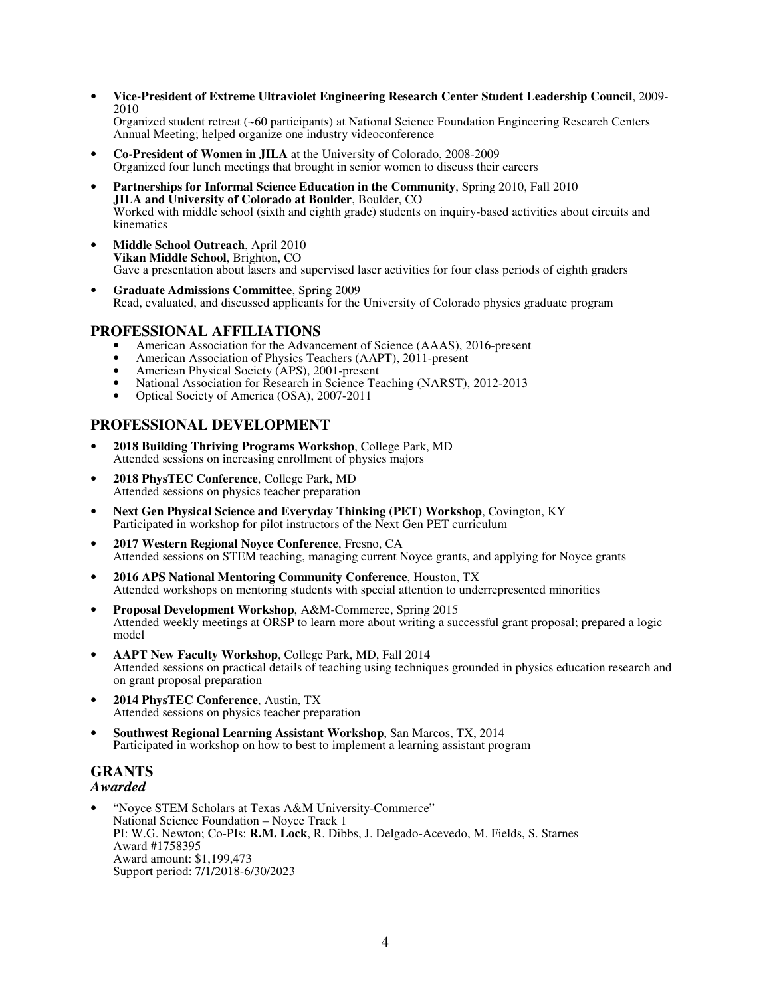• **Vice-President of Extreme Ultraviolet Engineering Research Center Student Leadership Council**, 2009- 2010

Organized student retreat (~60 participants) at National Science Foundation Engineering Research Centers Annual Meeting; helped organize one industry videoconference

- **Co-President of Women in JILA** at the University of Colorado, 2008-2009 Organized four lunch meetings that brought in senior women to discuss their careers
- **Partnerships for Informal Science Education in the Community**, Spring 2010, Fall 2010 **JILA and University of Colorado at Boulder**, Boulder, CO Worked with middle school (sixth and eighth grade) students on inquiry-based activities about circuits and kinematics
- **Middle School Outreach**, April 2010 **Vikan Middle School**, Brighton, CO Gave a presentation about lasers and supervised laser activities for four class periods of eighth graders
- **Graduate Admissions Committee**, Spring 2009 Read, evaluated, and discussed applicants for the University of Colorado physics graduate program

### **PROFESSIONAL AFFILIATIONS**

- American Association for the Advancement of Science (AAAS), 2016-present
- American Association of Physics Teachers (AAPT), 2011-present<br>• American Physical Society (APS), 2001-present
- American Physical Society (APS), 2001-present
- National Association for Research in Science Teaching (NARST), 2012-2013
- Optical Society of America (OSA), 2007-2011

### **PROFESSIONAL DEVELOPMENT**

- **2018 Building Thriving Programs Workshop**, College Park, MD Attended sessions on increasing enrollment of physics majors
- **2018 PhysTEC Conference**, College Park, MD Attended sessions on physics teacher preparation
- **Next Gen Physical Science and Everyday Thinking (PET) Workshop**, Covington, KY Participated in workshop for pilot instructors of the Next Gen PET curriculum
- **2017 Western Regional Noyce Conference**, Fresno, CA Attended sessions on STEM teaching, managing current Noyce grants, and applying for Noyce grants
- **2016 APS National Mentoring Community Conference**, Houston, TX Attended workshops on mentoring students with special attention to underrepresented minorities
- **Proposal Development Workshop**, A&M-Commerce, Spring 2015 Attended weekly meetings at ORSP to learn more about writing a successful grant proposal; prepared a logic model
- **AAPT New Faculty Workshop**, College Park, MD, Fall 2014 Attended sessions on practical details of teaching using techniques grounded in physics education research and on grant proposal preparation
- **2014 PhysTEC Conference**, Austin, TX Attended sessions on physics teacher preparation
- **Southwest Regional Learning Assistant Workshop**, San Marcos, TX, 2014 Participated in workshop on how to best to implement a learning assistant program

### **GRANTS**  *Awarded*

• "Noyce STEM Scholars at Texas A&M University-Commerce" National Science Foundation – Noyce Track 1 PI: W.G. Newton; Co-PIs: **R.M. Lock**, R. Dibbs, J. Delgado-Acevedo, M. Fields, S. Starnes Award #1758395 Award amount: \$1,199,473 Support period: 7/1/2018-6/30/2023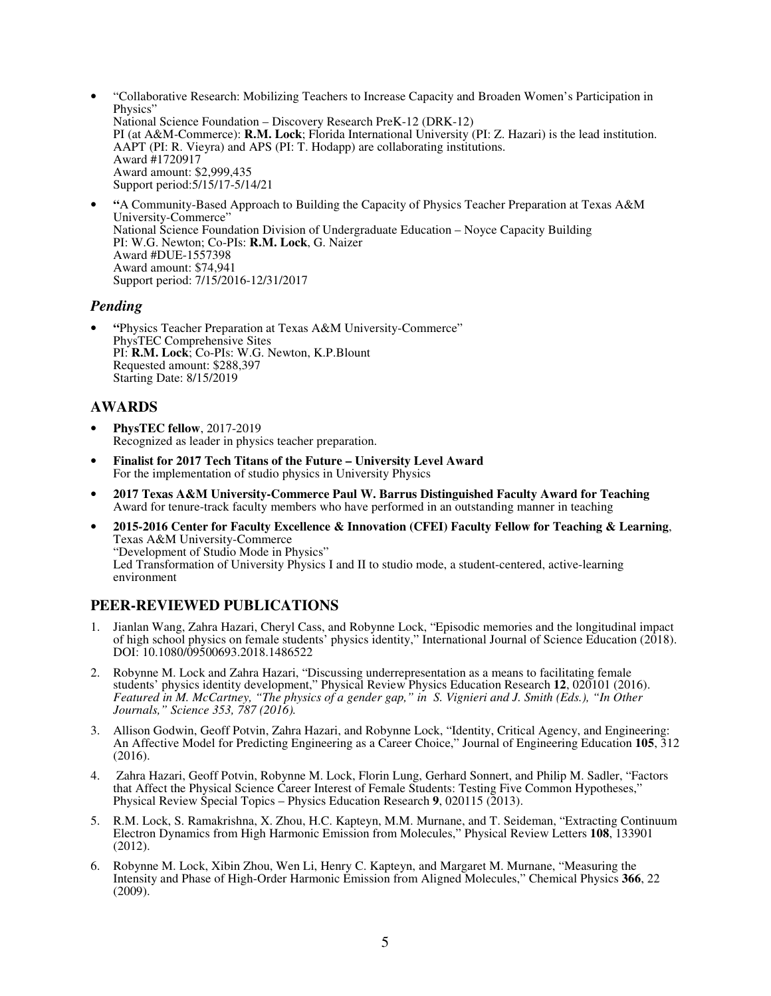- "Collaborative Research: Mobilizing Teachers to Increase Capacity and Broaden Women's Participation in Physics" National Science Foundation – Discovery Research PreK-12 (DRK-12) PI (at A&M-Commerce): **R.M. Lock**; Florida International University (PI: Z. Hazari) is the lead institution. AAPT (PI: R. Vieyra) and APS (PI: T. Hodapp) are collaborating institutions. Award #1720917 Award amount: \$2,999,435 Support period:5/15/17-5/14/21
- **"**A Community-Based Approach to Building the Capacity of Physics Teacher Preparation at Texas A&M University-Commerce" National Science Foundation Division of Undergraduate Education – Noyce Capacity Building PI: W.G. Newton; Co-PIs: **R.M. Lock**, G. Naizer Award #DUE-1557398 Award amount: \$74,941 Support period: 7/15/2016-12/31/2017

### *Pending*

• **"**Physics Teacher Preparation at Texas A&M University-Commerce" PhysTEC Comprehensive Sites PI: **R.M. Lock**; Co-PIs: W.G. Newton, K.P.Blount Requested amount: \$288,397 Starting Date: 8/15/2019

### **AWARDS**

- **PhysTEC fellow**, 2017-2019 Recognized as leader in physics teacher preparation.
- **Finalist for 2017 Tech Titans of the Future University Level Award** For the implementation of studio physics in University Physics
- **2017 Texas A&M University-Commerce Paul W. Barrus Distinguished Faculty Award for Teaching**  Award for tenure-track faculty members who have performed in an outstanding manner in teaching
- **2015-2016 Center for Faculty Excellence & Innovation (CFEI) Faculty Fellow for Teaching & Learning**, Texas A&M University-Commerce "Development of Studio Mode in Physics" Led Transformation of University Physics I and II to studio mode, a student-centered, active-learning environment

### **PEER-REVIEWED PUBLICATIONS**

- 1. Jianlan Wang, Zahra Hazari, Cheryl Cass, and Robynne Lock, "Episodic memories and the longitudinal impact of high school physics on female students' physics identity," International Journal of Science Education (2018). DOI: 10.1080/09500693.2018.1486522
- 2. Robynne M. Lock and Zahra Hazari, "Discussing underrepresentation as a means to facilitating female students' physics identity development," Physical Review Physics Education Research **12**, 020101 (2016). *Featured in M. McCartney, "The physics of a gender gap," in S. Vignieri and J. Smith (Eds.), "In Other Journals," Science 353, 787 (2016).*
- 3. Allison Godwin, Geoff Potvin, Zahra Hazari, and Robynne Lock, "Identity, Critical Agency, and Engineering: An Affective Model for Predicting Engineering as a Career Choice," Journal of Engineering Education **105**, 312 (2016).
- 4. Zahra Hazari, Geoff Potvin, Robynne M. Lock, Florin Lung, Gerhard Sonnert, and Philip M. Sadler, "Factors that Affect the Physical Science Career Interest of Female Students: Testing Five Common Hypotheses," Physical Review Special Topics – Physics Education Research **9**, 020115 (2013).
- 5. R.M. Lock, S. Ramakrishna, X. Zhou, H.C. Kapteyn, M.M. Murnane, and T. Seideman, "Extracting Continuum Electron Dynamics from High Harmonic Emission from Molecules," Physical Review Letters **108**, 133901 (2012).
- 6. Robynne M. Lock, Xibin Zhou, Wen Li, Henry C. Kapteyn, and Margaret M. Murnane, "Measuring the Intensity and Phase of High-Order Harmonic Emission from Aligned Molecules," Chemical Physics **366**, 22  $(2009).$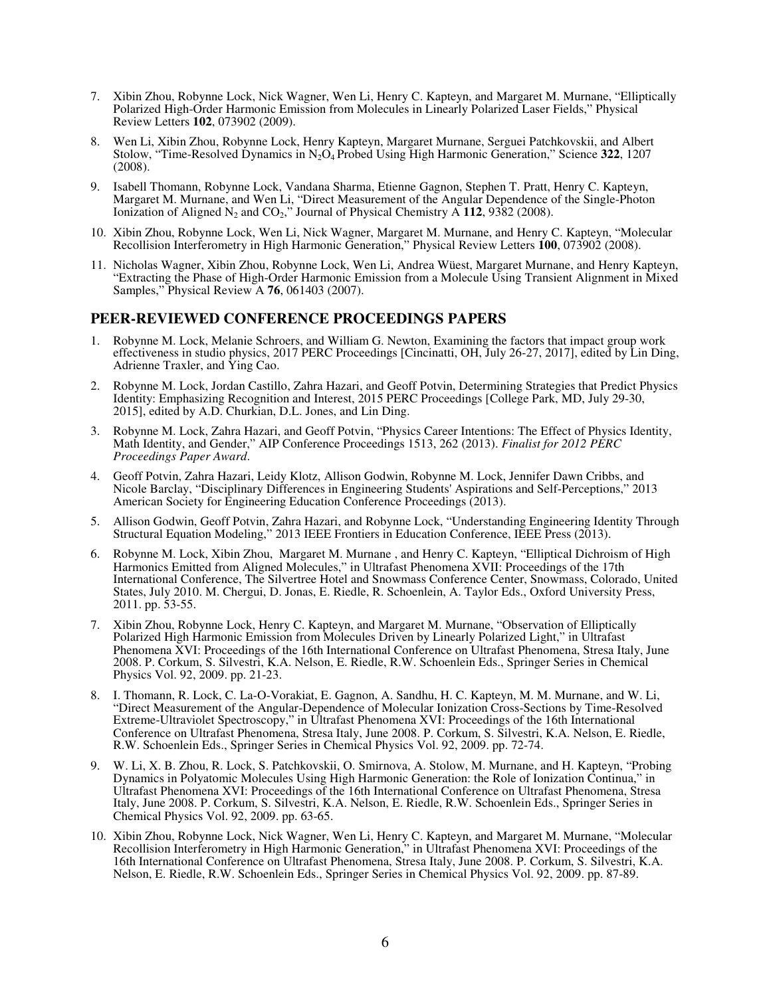- 7. Xibin Zhou, Robynne Lock, Nick Wagner, Wen Li, Henry C. Kapteyn, and Margaret M. Murnane, "Elliptically Polarized High-Order Harmonic Emission from Molecules in Linearly Polarized Laser Fields," Physical Review Letters **102**, 073902 (2009).
- 8. Wen Li, Xibin Zhou, Robynne Lock, Henry Kapteyn, Margaret Murnane, Serguei Patchkovskii, and Albert Stolow, "Time-Resolved Dynamics in N2O4 Probed Using High Harmonic Generation," Science **322**, 1207 (2008).
- 9. Isabell Thomann, Robynne Lock, Vandana Sharma, Etienne Gagnon, Stephen T. Pratt, Henry C. Kapteyn, Margaret M. Murnane, and Wen Li, "Direct Measurement of the Angular Dependence of the Single-Photon Ionization of Aligned  $N_2$  and  $CO_2$ ," Journal of Physical Chemistry A 112, 9382 (2008).
- 10. Xibin Zhou, Robynne Lock, Wen Li, Nick Wagner, Margaret M. Murnane, and Henry C. Kapteyn, "Molecular Recollision Interferometry in High Harmonic Generation," Physical Review Letters **100**, 073902 (2008).
- 11. Nicholas Wagner, Xibin Zhou, Robynne Lock, Wen Li, Andrea Wüest, Margaret Murnane, and Henry Kapteyn, "Extracting the Phase of High-Order Harmonic Emission from a Molecule Using Transient Alignment in Mixed Samples," Physical Review A **76**, 061403 (2007).

#### **PEER-REVIEWED CONFERENCE PROCEEDINGS PAPERS**

- 1. Robynne M. Lock, Melanie Schroers, and William G. Newton, Examining the factors that impact group work effectiveness in studio physics, 2017 PERC Proceedings [Cincinatti, OH, July 26-27, 2017], edited by Lin Ding, Adrienne Traxler, and Ying Cao.
- 2. Robynne M. Lock, Jordan Castillo, Zahra Hazari, and Geoff Potvin, Determining Strategies that Predict Physics Identity: Emphasizing Recognition and Interest, 2015 PERC Proceedings [College Park, MD, July 29-30, 2015], edited by A.D. Churkian, D.L. Jones, and Lin Ding.
- 3. Robynne M. Lock, Zahra Hazari, and Geoff Potvin, "Physics Career Intentions: The Effect of Physics Identity, Math Identity, and Gender," AIP Conference Proceedings 1513, 262 (2013). *Finalist for 2012 PERC Proceedings Paper Award*.
- 4. Geoff Potvin, Zahra Hazari, Leidy Klotz, Allison Godwin, Robynne M. Lock, Jennifer Dawn Cribbs, and Nicole Barclay, "Disciplinary Differences in Engineering Students' Aspirations and Self-Perceptions," 2013 American Society for Engineering Education Conference Proceedings (2013).
- 5. Allison Godwin, Geoff Potvin, Zahra Hazari, and Robynne Lock, "Understanding Engineering Identity Through Structural Equation Modeling," 2013 IEEE Frontiers in Education Conference, IEEE Press (2013).
- 6. Robynne M. Lock, Xibin Zhou, Margaret M. Murnane , and Henry C. Kapteyn, "Elliptical Dichroism of High Harmonics Emitted from Aligned Molecules," in Ultrafast Phenomena XVII: Proceedings of the 17th International Conference, The Silvertree Hotel and Snowmass Conference Center, Snowmass, Colorado, United States, July 2010. M. Chergui, D. Jonas, E. Riedle, R. Schoenlein, A. Taylor Eds., Oxford University Press, 2011. pp. 53-55.
- 7. Xibin Zhou, Robynne Lock, Henry C. Kapteyn, and Margaret M. Murnane, "Observation of Elliptically Polarized High Harmonic Emission from Molecules Driven by Linearly Polarized Light," in Ultrafast Phenomena XVI: Proceedings of the 16th International Conference on Ultrafast Phenomena, Stresa Italy, June 2008. P. Corkum, S. Silvestri, K.A. Nelson, E. Riedle, R.W. Schoenlein Eds., Springer Series in Chemical Physics Vol. 92, 2009. pp. 21-23.
- 8. I. Thomann, R. Lock, C. La-O-Vorakiat, E. Gagnon, A. Sandhu, H. C. Kapteyn, M. M. Murnane, and W. Li, "Direct Measurement of the Angular-Dependence of Molecular Ionization Cross-Sections by Time-Resolved Extreme-Ultraviolet Spectroscopy," in Ultrafast Phenomena XVI: Proceedings of the 16th International Conference on Ultrafast Phenomena, Stresa Italy, June 2008. P. Corkum, S. Silvestri, K.A. Nelson, E. Riedle, R.W. Schoenlein Eds., Springer Series in Chemical Physics Vol. 92, 2009. pp. 72-74.
- 9. W. Li, X. B. Zhou, R. Lock, S. Patchkovskii, O. Smirnova, A. Stolow, M. Murnane, and H. Kapteyn, "Probing Dynamics in Polyatomic Molecules Using High Harmonic Generation: the Role of Ionization Continua," in Ultrafast Phenomena XVI: Proceedings of the 16th International Conference on Ultrafast Phenomena, Stresa Italy, June 2008. P. Corkum, S. Silvestri, K.A. Nelson, E. Riedle, R.W. Schoenlein Eds., Springer Series in Chemical Physics Vol. 92, 2009. pp. 63-65.
- 10. Xibin Zhou, Robynne Lock, Nick Wagner, Wen Li, Henry C. Kapteyn, and Margaret M. Murnane, "Molecular Recollision Interferometry in High Harmonic Generation," in Ultrafast Phenomena XVI: Proceedings of the 16th International Conference on Ultrafast Phenomena, Stresa Italy, June 2008. P. Corkum, S. Silvestri, K.A. Nelson, E. Riedle, R.W. Schoenlein Eds., Springer Series in Chemical Physics Vol. 92, 2009. pp. 87-89.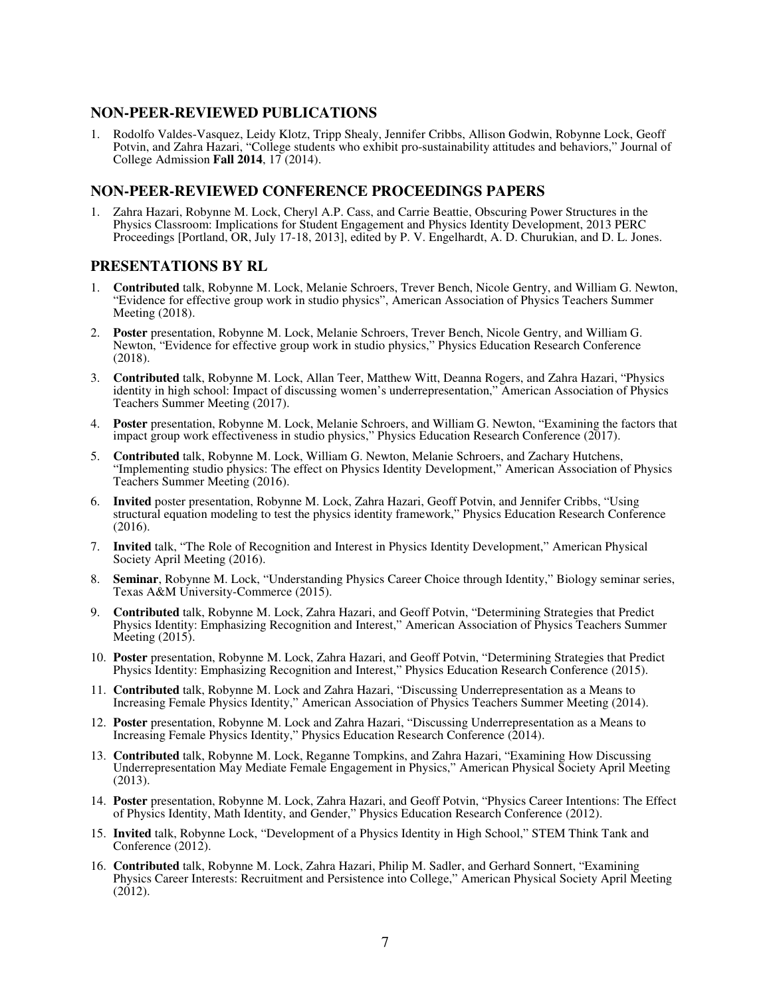#### **NON-PEER-REVIEWED PUBLICATIONS**

1. Rodolfo Valdes-Vasquez, Leidy Klotz, Tripp Shealy, Jennifer Cribbs, Allison Godwin, Robynne Lock, Geoff Potvin, and Zahra Hazari, "College students who exhibit pro-sustainability attitudes and behaviors," Journal of College Admission **Fall 2014**, 17 (2014).

### **NON-PEER-REVIEWED CONFERENCE PROCEEDINGS PAPERS**

1. Zahra Hazari, Robynne M. Lock, Cheryl A.P. Cass, and Carrie Beattie, Obscuring Power Structures in the Physics Classroom: Implications for Student Engagement and Physics Identity Development, 2013 PERC Proceedings [Portland, OR, July 17-18, 2013], edited by P. V. Engelhardt, A. D. Churukian, and D. L. Jones.

### **PRESENTATIONS BY RL**

- 1. **Contributed** talk, Robynne M. Lock, Melanie Schroers, Trever Bench, Nicole Gentry, and William G. Newton, "Evidence for effective group work in studio physics", American Association of Physics Teachers Summer Meeting (2018).
- 2. **Poster** presentation, Robynne M. Lock, Melanie Schroers, Trever Bench, Nicole Gentry, and William G. Newton, "Evidence for effective group work in studio physics," Physics Education Research Conference (2018).
- 3. **Contributed** talk, Robynne M. Lock, Allan Teer, Matthew Witt, Deanna Rogers, and Zahra Hazari, "Physics identity in high school: Impact of discussing women's underrepresentation," American Association of Physics Teachers Summer Meeting (2017).
- 4. **Poster** presentation, Robynne M. Lock, Melanie Schroers, and William G. Newton, "Examining the factors that impact group work effectiveness in studio physics," Physics Education Research Conference (2017).
- 5. **Contributed** talk, Robynne M. Lock, William G. Newton, Melanie Schroers, and Zachary Hutchens, "Implementing studio physics: The effect on Physics Identity Development," American Association of Physics Teachers Summer Meeting (2016).
- 6. **Invited** poster presentation, Robynne M. Lock, Zahra Hazari, Geoff Potvin, and Jennifer Cribbs, "Using structural equation modeling to test the physics identity framework," Physics Education Research Conference (2016).
- 7. **Invited** talk, "The Role of Recognition and Interest in Physics Identity Development," American Physical Society April Meeting (2016).
- 8. **Seminar**, Robynne M. Lock, "Understanding Physics Career Choice through Identity," Biology seminar series, Texas A&M University-Commerce (2015).
- 9. **Contributed** talk, Robynne M. Lock, Zahra Hazari, and Geoff Potvin, "Determining Strategies that Predict Physics Identity: Emphasizing Recognition and Interest," American Association of Physics Teachers Summer Meeting (2015).
- 10. **Poster** presentation, Robynne M. Lock, Zahra Hazari, and Geoff Potvin, "Determining Strategies that Predict Physics Identity: Emphasizing Recognition and Interest," Physics Education Research Conference (2015).
- 11. **Contributed** talk, Robynne M. Lock and Zahra Hazari, "Discussing Underrepresentation as a Means to Increasing Female Physics Identity," American Association of Physics Teachers Summer Meeting (2014).
- 12. **Poster** presentation, Robynne M. Lock and Zahra Hazari, "Discussing Underrepresentation as a Means to Increasing Female Physics Identity," Physics Education Research Conference (2014).
- 13. **Contributed** talk, Robynne M. Lock, Reganne Tompkins, and Zahra Hazari, "Examining How Discussing Underrepresentation May Mediate Female Engagement in Physics," American Physical Society April Meeting (2013).
- 14. **Poster** presentation, Robynne M. Lock, Zahra Hazari, and Geoff Potvin, "Physics Career Intentions: The Effect of Physics Identity, Math Identity, and Gender," Physics Education Research Conference (2012).
- 15. **Invited** talk, Robynne Lock, "Development of a Physics Identity in High School," STEM Think Tank and Conference (2012).
- 16. **Contributed** talk, Robynne M. Lock, Zahra Hazari, Philip M. Sadler, and Gerhard Sonnert, "Examining Physics Career Interests: Recruitment and Persistence into College," American Physical Society April Meeting  $(2012).$